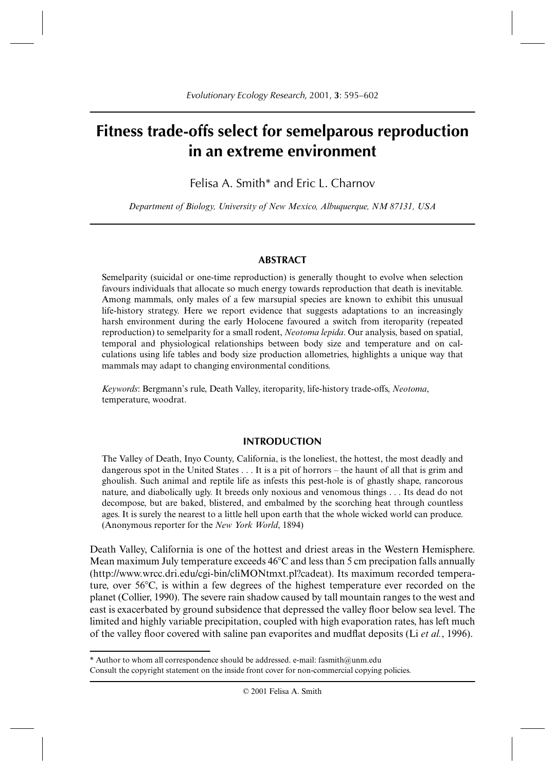# **Fitness trade-offs select for semelparous reproduction in an extreme environment**

Felisa A. Smith\* and Eric L. Charnov

*Department of Biology, University of New Mexico, Albuquerque, NM 87131, USA*

## **ABSTRACT**

Semelparity (suicidal or one-time reproduction) is generally thought to evolve when selection favours individuals that allocate so much energy towards reproduction that death is inevitable. Among mammals, only males of a few marsupial species are known to exhibit this unusual life-history strategy. Here we report evidence that suggests adaptations to an increasingly harsh environment during the early Holocene favoured a switch from iteroparity (repeated reproduction) to semelparity for a small rodent, *Neotoma lepida*. Our analysis, based on spatial, temporal and physiological relationships between body size and temperature and on calculations using life tables and body size production allometries, highlights a unique way that mammals may adapt to changing environmental conditions.

*Keywords*: Bergmann's rule, Death Valley, iteroparity, life-history trade-offs, *Neotoma*, temperature, woodrat.

#### **INTRODUCTION**

The Valley of Death, Inyo County, California, is the loneliest, the hottest, the most deadly and dangerous spot in the United States . . . It is a pit of horrors – the haunt of all that is grim and ghoulish. Such animal and reptile life as infests this pest-hole is of ghastly shape, rancorous nature, and diabolically ugly. It breeds only noxious and venomous things . . . Its dead do not decompose, but are baked, blistered, and embalmed by the scorching heat through countless ages. It is surely the nearest to a little hell upon earth that the whole wicked world can produce. (Anonymous reporter for the *New York World*, 1894)

Death Valley, California is one of the hottest and driest areas in the Western Hemisphere. Mean maximum July temperature exceeds  $46^{\circ}$ C and less than 5 cm precipation falls annually (http://www.wrcc.dri.edu/cgi-bin/cliMONtmxt.pl?cadeat). Its maximum recorded temperature, over  $56^{\circ}$ C, is within a few degrees of the highest temperature ever recorded on the planet (Collier, 1990). The severe rain shadow caused by tall mountain ranges to the west and east is exacerbated by ground subsidence that depressed the valley floor below sea level. The limited and highly variable precipitation, coupled with high evaporation rates, has left much of the valley floor covered with saline pan evaporites and mudflat deposits (Li *et al.*, 1996).

<sup>\*</sup> Author to whom all correspondence should be addressed. e-mail: fasmith@unm.edu

Consult the copyright statement on the inside front cover for non-commercial copying policies.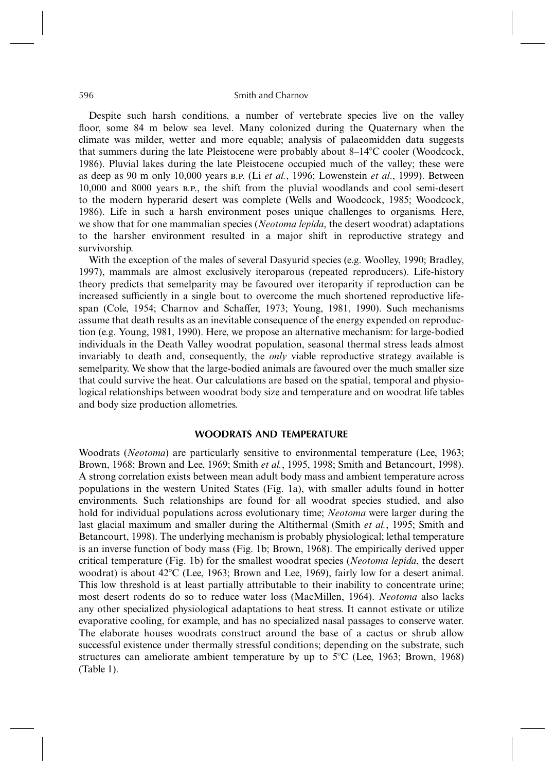#### 596 Smith and Charnov

Despite such harsh conditions, a number of vertebrate species live on the valley floor, some 84 m below sea level. Many colonized during the Quaternary when the climate was milder, wetter and more equable; analysis of palaeomidden data suggests that summers during the late Pleistocene were probably about  $8-14^{\circ}$ C cooler (Woodcock, 1986). Pluvial lakes during the late Pleistocene occupied much of the valley; these were as deep as 90 m only 10,000 years B.P. (Li *et al.*, 1996; Lowenstein *et al.*, 1999). Between 10,000 and 8000 years B.P., the shift from the pluvial woodlands and cool semi-desert to the modern hyperarid desert was complete (Wells and Woodcock, 1985; Woodcock, 1986). Life in such a harsh environment poses unique challenges to organisms. Here, we show that for one mammalian species (*Neotoma lepida*, the desert woodrat) adaptations to the harsher environment resulted in a major shift in reproductive strategy and survivorship.

With the exception of the males of several Dasyurid species (e.g. Woolley, 1990; Bradley, 1997), mammals are almost exclusively iteroparous (repeated reproducers). Life-history theory predicts that semelparity may be favoured over iteroparity if reproduction can be increased sufficiently in a single bout to overcome the much shortened reproductive lifespan (Cole, 1954; Charnov and Schaffer, 1973; Young, 1981, 1990). Such mechanisms assume that death results as an inevitable consequence of the energy expended on reproduction (e.g. Young, 1981, 1990). Here, we propose an alternative mechanism: for large-bodied individuals in the Death Valley woodrat population, seasonal thermal stress leads almost invariably to death and, consequently, the *only* viable reproductive strategy available is semelparity. We show that the large-bodied animals are favoured over the much smaller size that could survive the heat. Our calculations are based on the spatial, temporal and physiological relationships between woodrat body size and temperature and on woodrat life tables and body size production allometries.

# **WOODRATS AND TEMPERATURE**

Woodrats (*Neotoma*) are particularly sensitive to environmental temperature (Lee, 1963; Brown, 1968; Brown and Lee, 1969; Smith *et al.*, 1995, 1998; Smith and Betancourt, 1998). A strong correlation exists between mean adult body mass and ambient temperature across populations in the western United States (Fig. 1a), with smaller adults found in hotter environments. Such relationships are found for all woodrat species studied, and also hold for individual populations across evolutionary time; *Neotoma* were larger during the last glacial maximum and smaller during the Altithermal (Smith *et al.*, 1995; Smith and Betancourt, 1998). The underlying mechanism is probably physiological; lethal temperature is an inverse function of body mass (Fig. 1b; Brown, 1968). The empirically derived upper critical temperature (Fig. 1b) for the smallest woodrat species (*Neotoma lepida*, the desert woodrat) is about  $42^{\circ}$ C (Lee, 1963; Brown and Lee, 1969), fairly low for a desert animal. This low threshold is at least partially attributable to their inability to concentrate urine; most desert rodents do so to reduce water loss (MacMillen, 1964). *Neotoma* also lacks any other specialized physiological adaptations to heat stress. It cannot estivate or utilize evaporative cooling, for example, and has no specialized nasal passages to conserve water. The elaborate houses woodrats construct around the base of a cactus or shrub allow successful existence under thermally stressful conditions; depending on the substrate, such structures can ameliorate ambient temperature by up to  $5^{\circ}$ C (Lee, 1963; Brown, 1968) (Table 1).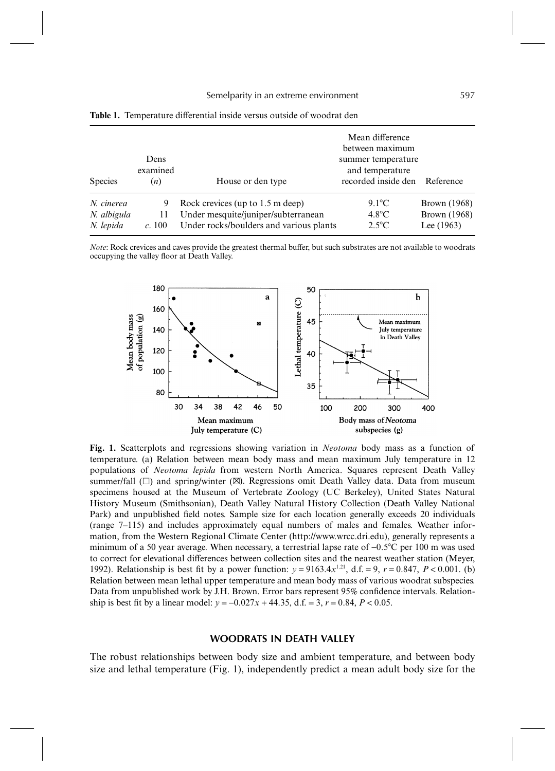|                | Dens            | Mean difference<br>between maximum<br>summer temperature |                                                  |                     |  |  |
|----------------|-----------------|----------------------------------------------------------|--------------------------------------------------|---------------------|--|--|
| <b>Species</b> | examined<br>(n) | House or den type                                        | and temperature<br>recorded inside den Reference |                     |  |  |
| N. cinerea     |                 | Rock crevices (up to $1.5$ m deep)                       | $9.1^{\circ}$ C                                  | <b>Brown</b> (1968) |  |  |
| N. albigula    | 11              | Under mesquite/juniper/subterranean                      | $4.8^{\circ}$ C                                  | Brown (1968)        |  |  |
| N. lepida      | c.100           | Under rocks/boulders and various plants                  | $2.5^{\circ}$ C                                  | Lee $(1963)$        |  |  |

**Table 1.** Temperature differential inside versus outside of woodrat den

*Note*: Rock crevices and caves provide the greatest thermal buffer, but such substrates are not available to woodrats occupying the valley floor at Death Valley.



**Fig. 1.** Scatterplots and regressions showing variation in *Neotoma* body mass as a function of temperature. (a) Relation between mean body mass and mean maximum July temperature in 12 populations of *Neotoma lepida* from western North America. Squares represent Death Valley summer/fall  $(\Box)$  and spring/winter  $(\boxtimes)$ . Regressions omit Death Valley data. Data from museum specimens housed at the Museum of Vertebrate Zoology (UC Berkeley), United States Natural History Museum (Smithsonian), Death Valley Natural History Collection (Death Valley National Park) and unpublished field notes. Sample size for each location generally exceeds 20 individuals (range 7–115) and includes approximately equal numbers of males and females. Weather information, from the Western Regional Climate Center (http://www.wrcc.dri.edu), generally represents a minimum of a 50 year average. When necessary, a terrestrial lapse rate of −0.5C per 100 m was used to correct for elevational differences between collection sites and the nearest weather station (Meyer, 1992). Relationship is best fit by a power function:  $y = 9163.4x^{1.21}$ , d.f. = 9,  $r = 0.847$ ,  $P < 0.001$ . (b) Relation between mean lethal upper temperature and mean body mass of various woodrat subspecies. Data from unpublished work by J.H. Brown. Error bars represent 95% confidence intervals. Relationship is best fit by a linear model:  $y = -0.027x + 44.35$ , d.f. = 3,  $r = 0.84$ ,  $P < 0.05$ .

# **WOODRATS IN DEATH VALLEY**

The robust relationships between body size and ambient temperature, and between body size and lethal temperature (Fig. 1), independently predict a mean adult body size for the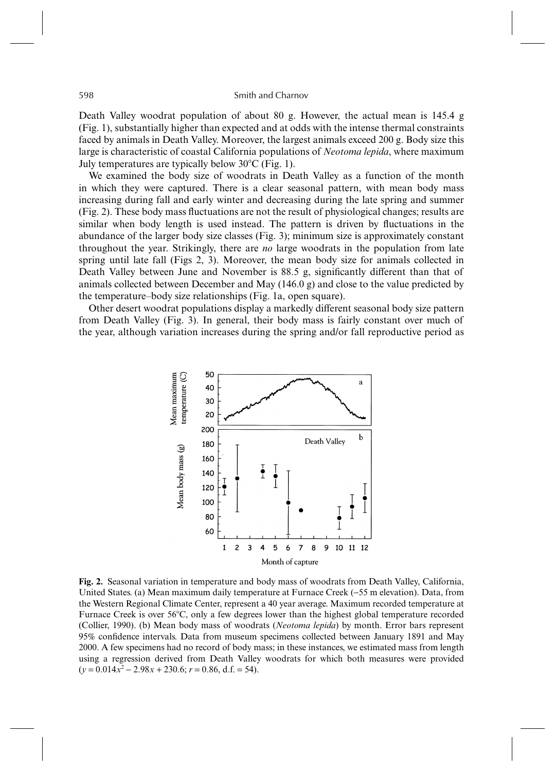598 Smith and Charnov

Death Valley woodrat population of about 80 g. However, the actual mean is 145.4 g. (Fig. 1), substantially higher than expected and at odds with the intense thermal constraints faced by animals in Death Valley. Moreover, the largest animals exceed 200 g. Body size this large is characteristic of coastal California populations of *Neotoma lepida*, where maximum July temperatures are typically below  $30^{\circ}$ C (Fig. 1).

We examined the body size of woodrats in Death Valley as a function of the month in which they were captured. There is a clear seasonal pattern, with mean body mass increasing during fall and early winter and decreasing during the late spring and summer (Fig. 2). These body mass fluctuations are not the result of physiological changes; results are similar when body length is used instead. The pattern is driven by fluctuations in the abundance of the larger body size classes (Fig. 3); minimum size is approximately constant throughout the year. Strikingly, there are *no* large woodrats in the population from late spring until late fall (Figs 2, 3). Moreover, the mean body size for animals collected in Death Valley between June and November is 88.5 g, significantly different than that of animals collected between December and May (146.0 g) and close to the value predicted by the temperature–body size relationships (Fig. 1a, open square).

Other desert woodrat populations display a markedly different seasonal body size pattern from Death Valley (Fig. 3). In general, their body mass is fairly constant over much of the year, although variation increases during the spring and/or fall reproductive period as



**Fig. 2.** Seasonal variation in temperature and body mass of woodrats from Death Valley, California, United States. (a) Mean maximum daily temperature at Furnace Creek (−55 m elevation). Data, from the Western Regional Climate Center, represent a 40 year average. Maximum recorded temperature at Furnace Creek is over 56C, only a few degrees lower than the highest global temperature recorded (Collier, 1990). (b) Mean body mass of woodrats (*Neotoma lepida*) by month. Error bars represent 95% confidence intervals. Data from museum specimens collected between January 1891 and May 2000. A few specimens had no record of body mass; in these instances, we estimated mass from length using a regression derived from Death Valley woodrats for which both measures were provided  $(y = 0.014x^2 - 2.98x + 230.6; r = 0.86, d.f. = 54).$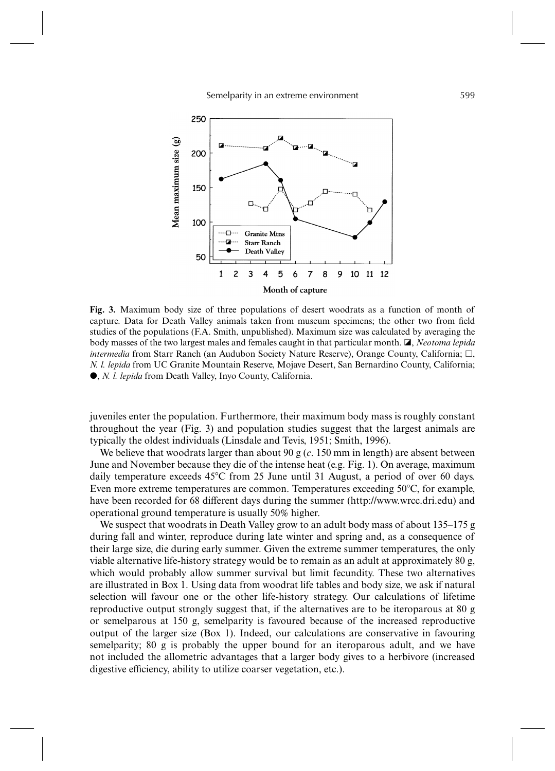Semelparity in an extreme environment 599



**Fig. 3.** Maximum body size of three populations of desert woodrats as a function of month of capture. Data for Death Valley animals taken from museum specimens; the other two from field studies of the populations (F.A. Smith, unpublished). Maximum size was calculated by averaging the body masses of the two largest males and females caught in that particular month. **A**, *Neotoma lepida intermedia* from Starr Ranch (an Audubon Society Nature Reserve), Orange County, California;  $\Box$ , *N. l. lepida* from UC Granite Mountain Reserve, Mojave Desert, San Bernardino County, California; , *N. l. lepida* from Death Valley, Inyo County, California.

juveniles enter the population. Furthermore, their maximum body mass is roughly constant throughout the year (Fig. 3) and population studies suggest that the largest animals are typically the oldest individuals (Linsdale and Tevis, 1951; Smith, 1996).

We believe that woodrats larger than about 90 g  $(c. 150 \text{ mm in length})$  are absent between June and November because they die of the intense heat (e.g. Fig. 1). On average, maximum daily temperature exceeds 45C from 25 June until 31 August, a period of over 60 days. Even more extreme temperatures are common. Temperatures exceeding 50°C, for example, have been recorded for 68 different days during the summer (http://www.wrcc.dri.edu) and operational ground temperature is usually 50% higher.

We suspect that woodrats in Death Valley grow to an adult body mass of about 135–175 g during fall and winter, reproduce during late winter and spring and, as a consequence of their large size, die during early summer. Given the extreme summer temperatures, the only viable alternative life-history strategy would be to remain as an adult at approximately 80 g, which would probably allow summer survival but limit fecundity. These two alternatives are illustrated in Box 1. Using data from woodrat life tables and body size, we ask if natural selection will favour one or the other life-history strategy. Our calculations of lifetime reproductive output strongly suggest that, if the alternatives are to be iteroparous at 80 g or semelparous at 150 g, semelparity is favoured because of the increased reproductive output of the larger size (Box 1). Indeed, our calculations are conservative in favouring semelparity; 80 g is probably the upper bound for an iteroparous adult, and we have not included the allometric advantages that a larger body gives to a herbivore (increased digestive efficiency, ability to utilize coarser vegetation, etc.).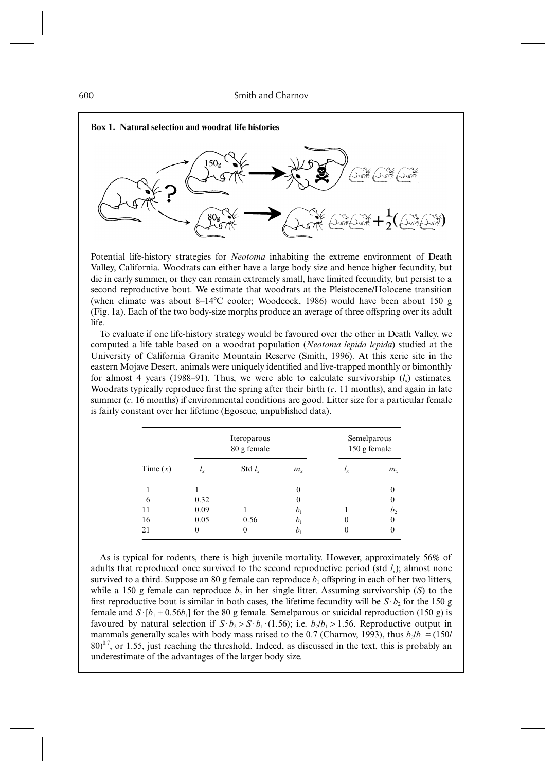

Potential life-history strategies for *Neotoma* inhabiting the extreme environment of Death Valley, California. Woodrats can either have a large body size and hence higher fecundity, but die in early summer, or they can remain extremely small, have limited fecundity, but persist to a second reproductive bout. We estimate that woodrats at the Pleistocene/Holocene transition (when climate was about  $8-14^{\circ}$ C cooler; Woodcock, 1986) would have been about 150 g (Fig. 1a). Each of the two body-size morphs produce an average of three offspring over its adult life.

To evaluate if one life-history strategy would be favoured over the other in Death Valley, we computed a life table based on a woodrat population (*Neotoma lepida lepida*) studied at the University of California Granite Mountain Reserve (Smith, 1996). At this xeric site in the eastern Mojave Desert, animals were uniquely identified and live-trapped monthly or bimonthly for almost 4 years (1988–91). Thus, we were able to calculate survivorship  $(l<sub>x</sub>)$  estimates. Woodrats typically reproduce first the spring after their birth (*c*. 11 months), and again in late summer (*c*. 16 months) if environmental conditions are good. Litter size for a particular female is fairly constant over her lifetime (Egoscue, unpublished data).

|            |             | Iteroparous<br>80 g female | Semelparous<br>150 g female |          |             |
|------------|-------------|----------------------------|-----------------------------|----------|-------------|
| Time $(x)$ | $\iota_{x}$ | Std $l_{\rm r}$            | $m_{\rm r}$                 |          | $m_{\rm v}$ |
|            |             |                            | $\theta$                    |          |             |
| 6          | 0.32        |                            | $\theta$                    |          |             |
| 11         | 0.09        |                            | b,                          |          |             |
| 16         | 0.05        | 0.56                       | b,                          | $\theta$ |             |
| 21         | 0           |                            |                             | 0        |             |

As is typical for rodents, there is high juvenile mortality. However, approximately 56% of adults that reproduced once survived to the second reproductive period (std  $l<sub>x</sub>$ ); almost none survived to a third. Suppose an 80 g female can reproduce  $b_1$  offspring in each of her two litters, while a 150 g female can reproduce  $b_2$  in her single litter. Assuming survivorship (*S*) to the first reproductive bout is similar in both cases, the lifetime fecundity will be  $S \cdot b_2$  for the 150 g female and  $S$ ·[ $b_1 + 0.56b_1$ ] for the 80 g female. Semelparous or suicidal reproduction (150 g) is favoured by natural selection if  $S \cdot b_2 > S \cdot b_1 \cdot (1.56)$ ; i.e.  $b_2/b_1 > 1.56$ . Reproductive output in mammals generally scales with body mass raised to the 0.7 (Charnov, 1993), thus  $b_2/b_1 \approx (150/$  $80)^{0.7}$ , or 1.55, just reaching the threshold. Indeed, as discussed in the text, this is probably an underestimate of the advantages of the larger body size.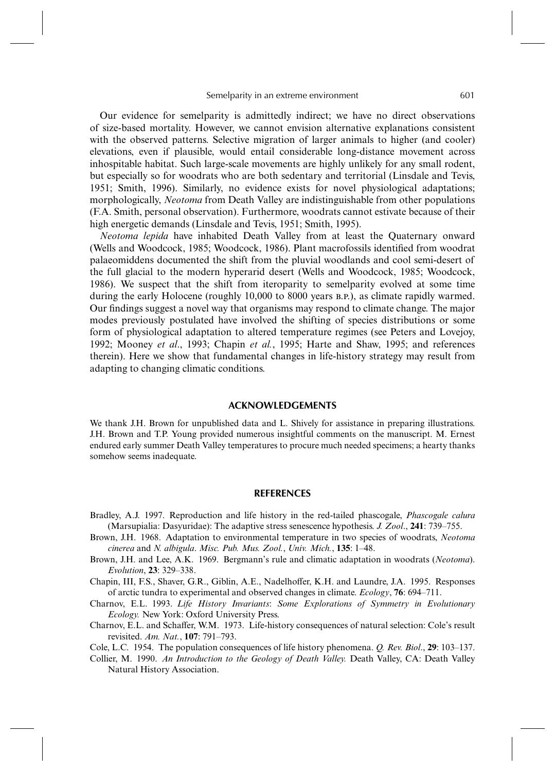Our evidence for semelparity is admittedly indirect; we have no direct observations of size-based mortality. However, we cannot envision alternative explanations consistent with the observed patterns. Selective migration of larger animals to higher (and cooler) elevations, even if plausible, would entail considerable long-distance movement across inhospitable habitat. Such large-scale movements are highly unlikely for any small rodent, but especially so for woodrats who are both sedentary and territorial (Linsdale and Tevis, 1951; Smith, 1996). Similarly, no evidence exists for novel physiological adaptations; morphologically, *Neotoma* from Death Valley are indistinguishable from other populations (F.A. Smith, personal observation). Furthermore, woodrats cannot estivate because of their high energetic demands (Linsdale and Tevis, 1951; Smith, 1995).

*Neotoma lepida* have inhabited Death Valley from at least the Quaternary onward (Wells and Woodcock, 1985; Woodcock, 1986). Plant macrofossils identified from woodrat palaeomiddens documented the shift from the pluvial woodlands and cool semi-desert of the full glacial to the modern hyperarid desert (Wells and Woodcock, 1985; Woodcock, 1986). We suspect that the shift from iteroparity to semelparity evolved at some time during the early Holocene (roughly 10,000 to 8000 years B.P.), as climate rapidly warmed. Our findings suggest a novel way that organisms may respond to climate change. The major modes previously postulated have involved the shifting of species distributions or some form of physiological adaptation to altered temperature regimes (see Peters and Lovejoy, 1992; Mooney *et al*., 1993; Chapin *et al.*, 1995; Harte and Shaw, 1995; and references therein). Here we show that fundamental changes in life-history strategy may result from adapting to changing climatic conditions.

#### **ACKNOWLEDGEMENTS**

We thank J.H. Brown for unpublished data and L. Shively for assistance in preparing illustrations. J.H. Brown and T.P. Young provided numerous insightful comments on the manuscript. M. Ernest endured early summer Death Valley temperatures to procure much needed specimens; a hearty thanks somehow seems inadequate.

### **REFERENCES**

- Bradley, A.J. 1997. Reproduction and life history in the red-tailed phascogale, *Phascogale calura* (Marsupialia: Dasyuridae): The adaptive stress senescence hypothesis. *J. Zool*., **241**: 739–755.
- Brown, J.H. 1968. Adaptation to environmental temperature in two species of woodrats, *Neotoma cinerea* and *N. albigula*. *Misc. Pub. Mus. Zool.*, *Univ. Mich.*, **135**: 1–48.
- Brown, J.H. and Lee, A.K. 1969. Bergmann's rule and climatic adaptation in woodrats (*Neotoma*). *Evolution*, **23**: 329–338.
- Chapin, III, F.S., Shaver, G.R., Giblin, A.E., Nadelhoffer, K.H. and Laundre, J.A. 1995. Responses of arctic tundra to experimental and observed changes in climate. *Ecology*, **76**: 694–711.
- Charnov, E.L. 1993. *Life History Invariants*: *Some Explorations of Symmetry in Evolutionary Ecology.* New York: Oxford University Press.
- Charnov, E.L. and Schaffer, W.M. 1973. Life-history consequences of natural selection: Cole's result revisited. *Am. Nat.*, **107**: 791–793.
- Cole, L.C. 1954. The population consequences of life history phenomena. *Q. Rev. Biol*., **29**: 103–137.
- Collier, M. 1990. *An Introduction to the Geology of Death Valley.* Death Valley, CA: Death Valley Natural History Association.